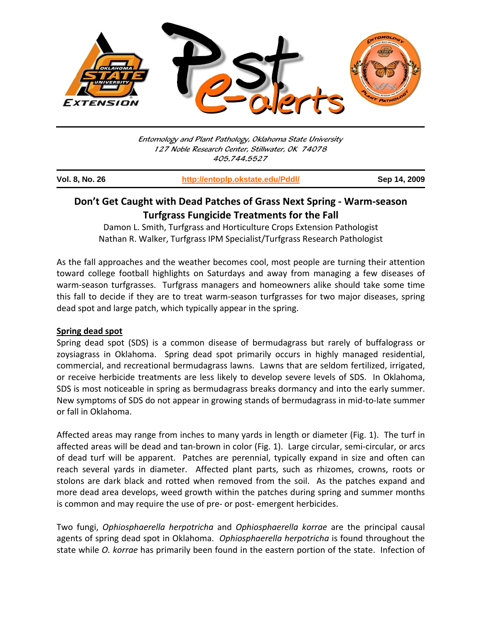

Entomology and Plant Pathology, Oklahoma State University 127 Noble Research Center, Stillwater, OK 74078 405.744.5527

| <b>Vol. 8, No. 26</b> | http://entoplp.okstate.edu/Pddl/ | Sep 14, 2009 |
|-----------------------|----------------------------------|--------------|
|                       |                                  |              |

## **Don't Get Caught with Dead Patches of Grass Next Spring ‐ Warm‐season Turfgrass Fungicide Treatments for the Fall**

Damon L. Smith, Turfgrass and Horticulture Crops Extension Pathologist Nathan R. Walker, Turfgrass IPM Specialist/Turfgrass Research Pathologist

As the fall approaches and the weather becomes cool, most people are turning their attention toward college football highlights on Saturdays and away from managing a few diseases of warm-season turfgrasses. Turfgrass managers and homeowners alike should take some time this fall to decide if they are to treat warm‐season turfgrasses for two major diseases, spring dead spot and large patch, which typically appear in the spring.

## **Spring dead spot**

Spring dead spot (SDS) is a common disease of bermudagrass but rarely of buffalograss or zoysiagrass in Oklahoma. Spring dead spot primarily occurs in highly managed residential, commercial, and recreational bermudagrass lawns. Lawns that are seldom fertilized, irrigated, or receive herbicide treatments are less likely to develop severe levels of SDS. In Oklahoma, SDS is most noticeable in spring as bermudagrass breaks dormancy and into the early summer. New symptoms of SDS do not appear in growing stands of bermudagrass in mid‐to‐late summer or fall in Oklahoma.

Affected areas may range from inches to many yards in length or diameter (Fig. 1). The turf in affected areas will be dead and tan‐brown in color (Fig. 1). Large circular, semi‐circular, or arcs of dead turf will be apparent. Patches are perennial, typically expand in size and often can reach several yards in diameter. Affected plant parts, such as rhizomes, crowns, roots or stolons are dark black and rotted when removed from the soil. As the patches expand and more dead area develops, weed growth within the patches during spring and summer months is common and may require the use of pre- or post- emergent herbicides.

Two fungi, *Ophiosphaerella herpotricha* and *Ophiosphaerella korrae* are the principal causal agents of spring dead spot in Oklahoma. *Ophiosphaerella herpotricha* is found throughout the state while *O. korrae* has primarily been found in the eastern portion of the state. Infection of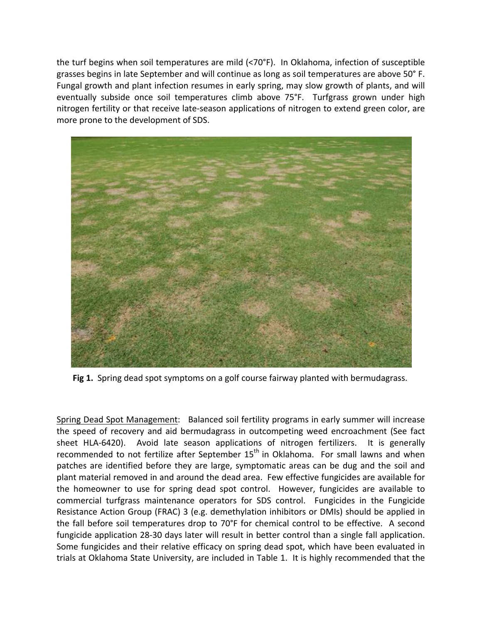the turf begins when soil temperatures are mild (<70°F). In Oklahoma, infection of susceptible grasses begins in late September and will continue as long as soil temperatures are above 50° F. Fungal growth and plant infection resumes in early spring, may slow growth of plants, and will eventually subside once soil temperatures climb above 75°F. Turfgrass grown under high nitrogen fertility or that receive late‐season applications of nitrogen to extend green color, are more prone to the development of SDS.



Fig 1. Spring dead spot symptoms on a golf course fairway planted with bermudagrass.

Spring Dead Spot Management: Balanced soil fertility programs in early summer will increase the speed of recovery and aid bermudagrass in outcompeting weed encroachment (See fact sheet HLA-6420). Avoid late season applications of nitrogen fertilizers. It is generally recommended to not fertilize after September  $15<sup>th</sup>$  in Oklahoma. For small lawns and when patches are identified before they are large, symptomatic areas can be dug and the soil and plant material removed in and around the dead area. Few effective fungicides are available for the homeowner to use for spring dead spot control. However, fungicides are available to commercial turfgrass maintenance operators for SDS control. Fungicides in the Fungicide Resistance Action Group (FRAC) 3 (e.g. demethylation inhibitors or DMIs) should be applied in the fall before soil temperatures drop to 70°F for chemical control to be effective. A second fungicide application 28‐30 days later will result in better control than a single fall application. Some fungicides and their relative efficacy on spring dead spot, which have been evaluated in trials at Oklahoma State University, are included in Table 1. It is highly recommended that the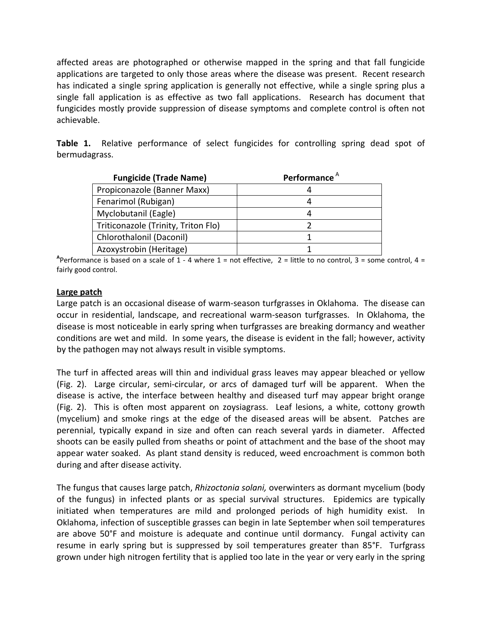affected areas are photographed or otherwise mapped in the spring and that fall fungicide applications are targeted to only those areas where the disease was present. Recent research has indicated a single spring application is generally not effective, while a single spring plus a single fall application is as effective as two fall applications. Research has document that fungicides mostly provide suppression of disease symptoms and complete control is often not achievable.

**Table 1.** Relative performance of select fungicides for controlling spring dead spot of bermudagrass.

| <b>Fungicide (Trade Name)</b>       | Performance <sup>A</sup> |  |
|-------------------------------------|--------------------------|--|
| Propiconazole (Banner Maxx)         |                          |  |
| Fenarimol (Rubigan)                 |                          |  |
| Myclobutanil (Eagle)                |                          |  |
| Triticonazole (Trinity, Triton Flo) |                          |  |
| Chlorothalonil (Daconil)            |                          |  |
| Azoxystrobin (Heritage)             |                          |  |

Aperformance is based on a scale of  $1 - 4$  where  $1 =$  not effective,  $2 =$  little to no control,  $3 =$  some control,  $4 =$ fairly good control.

## **Large patch**

Large patch is an occasional disease of warm-season turfgrasses in Oklahoma. The disease can occur in residential, landscape, and recreational warm‐season turfgrasses. In Oklahoma, the disease is most noticeable in early spring when turfgrasses are breaking dormancy and weather conditions are wet and mild. In some years, the disease is evident in the fall; however, activity by the pathogen may not always result in visible symptoms.

The turf in affected areas will thin and individual grass leaves may appear bleached or yellow (Fig. 2). Large circular, semi‐circular, or arcs of damaged turf will be apparent. When the disease is active, the interface between healthy and diseased turf may appear bright orange (Fig. 2). This is often most apparent on zoysiagrass. Leaf lesions, a white, cottony growth (mycelium) and smoke rings at the edge of the diseased areas will be absent. Patches are perennial, typically expand in size and often can reach several yards in diameter. Affected shoots can be easily pulled from sheaths or point of attachment and the base of the shoot may appear water soaked. As plant stand density is reduced, weed encroachment is common both during and after disease activity.

The fungus that causes large patch, *Rhizoctonia solani,* overwinters as dormant mycelium (body of the fungus) in infected plants or as special survival structures. Epidemics are typically initiated when temperatures are mild and prolonged periods of high humidity exist. In Oklahoma, infection of susceptible grasses can begin in late September when soil temperatures are above 50°F and moisture is adequate and continue until dormancy. Fungal activity can resume in early spring but is suppressed by soil temperatures greater than 85°F. Turfgrass grown under high nitrogen fertility that is applied too late in the year or very early in the spring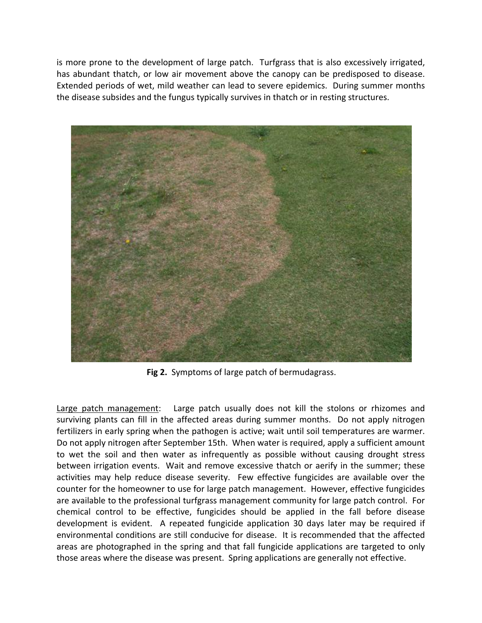is more prone to the development of large patch. Turfgrass that is also excessively irrigated, has abundant thatch, or low air movement above the canopy can be predisposed to disease. Extended periods of wet, mild weather can lead to severe epidemics. During summer months the disease subsides and the fungus typically survives in thatch or in resting structures.



**Fig 2.** Symptoms of large patch of bermudagrass.

Large patch management: Large patch usually does not kill the stolons or rhizomes and surviving plants can fill in the affected areas during summer months. Do not apply nitrogen fertilizers in early spring when the pathogen is active; wait until soil temperatures are warmer. Do not apply nitrogen after September 15th. When water is required, apply a sufficient amount to wet the soil and then water as infrequently as possible without causing drought stress between irrigation events. Wait and remove excessive thatch or aerify in the summer; these activities may help reduce disease severity. Few effective fungicides are available over the counter for the homeowner to use for large patch management. However, effective fungicides are available to the professional turfgrass management community for large patch control. For chemical control to be effective, fungicides should be applied in the fall before disease development is evident. A repeated fungicide application 30 days later may be required if environmental conditions are still conducive for disease. It is recommended that the affected areas are photographed in the spring and that fall fungicide applications are targeted to only those areas where the disease was present. Spring applications are generally not effective.